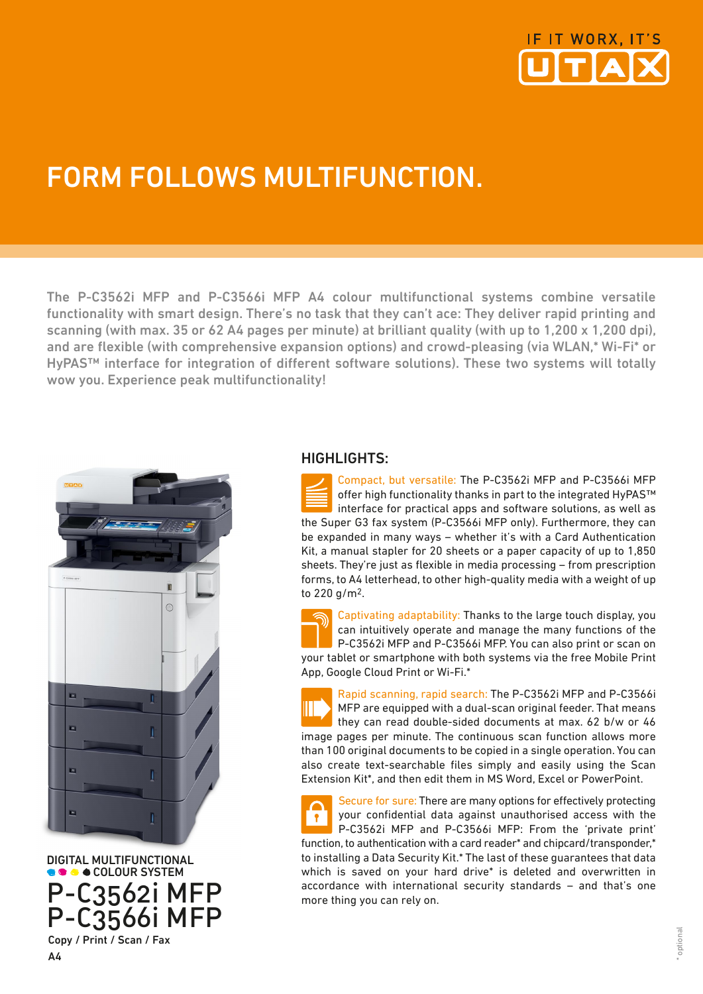

## FORM FOLLOWS MULTIFUNCTION.

The P-C3562i MFP and P-C3566i MFP A4 colour multifunctional systems combine versatile functionality with smart design. There's no task that they can't ace: They deliver rapid printing and scanning (with max. 35 or 62 A4 pages per minute) at brilliant quality (with up to 1.200 x 1.200 dpi). and are flexible (with comprehensive expansion options) and crowd-pleasing (via WLAN,\* Wi-Fi\* or HyPAS™ interface for integration of different software solutions). These two systems will totally wow you. Experience peak multifunctionality!



DIGITAL MULTIFUNCTIONAL **COLOUR SYSTEM** P-C3562i MFP P-C3566i MFP Copy / Print / Scan / Fax

## HIGHLIGHTS:

Compact, but versatile: The P-C3562i MFP and P-C3566i MFP offer high functionality thanks in part to the integrated HyPAS™ interface for practical apps and software solutions, as well as the Super G3 fax system (P-C3566i MFP only). Furthermore, they can be expanded in many ways – whether it's with a Card Authentication Kit, a manual stapler for 20 sheets or a paper capacity of up to 1,850 sheets. They're just as flexible in media processing – from prescription forms, to A4 letterhead, to other high-quality media with a weight of up to 220 g/m2.

Captivating adaptability: Thanks to the large touch display, you can intuitively operate and manage the many functions of the P-C3562i MFP and P-C3566i MFP. You can also print or scan on your tablet or smartphone with both systems via the free Mobile Print App, Google Cloud Print or Wi-Fi.\*

Rapid scanning, rapid search: The P-C3562i MFP and P-C3566i MFP are equipped with a dual-scan original feeder. That means they can read double-sided documents at max. 62 b/w or 46 image pages per minute. The continuous scan function allows more than 100 original documents to be copied in a single operation. You can also create text-searchable files simply and easily using the Scan Extension Kit\*, and then edit them in MS Word, Excel or PowerPoint.

Secure for sure: There are many options for effectively protecting your confidential data against unauthorised access with the  $\ddot{\ }$ P-C3562i MFP and P-C3566i MFP: From the 'private print' function, to authentication with a card reader\* and chipcard/transponder,\* to installing a Data Security Kit.\* The last of these guarantees that data which is saved on your hard drive\* is deleted and overwritten in accordance with international security standards – and that's one more thing you can rely on.